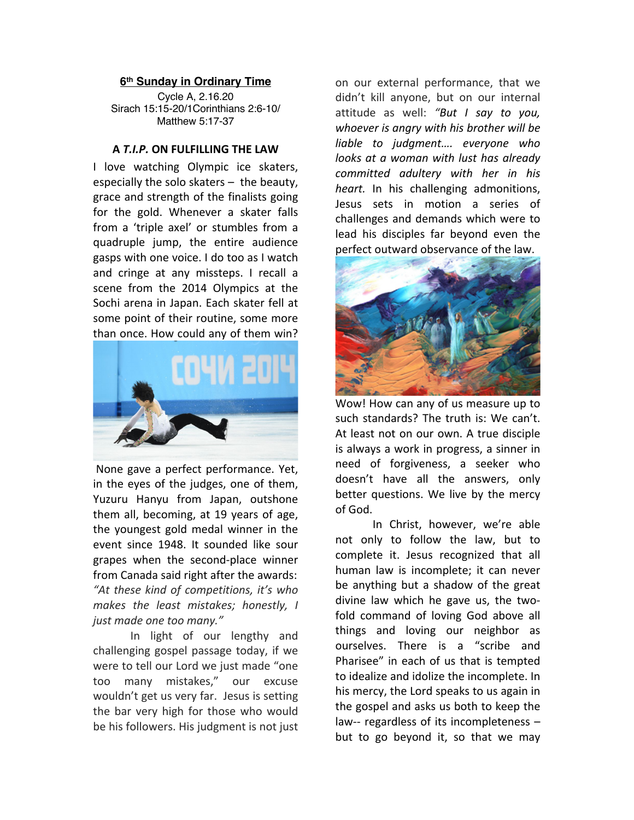## **6th Sunday in Ordinary Time**

Cycle A, 2.16.20 Sirach 15:15-20/1Corinthians 2:6-10/ Matthew 5:17-37

## **A** *T.I.P.* **ON FULFILLING THE LAW**

I love watching Olympic ice skaters, especially the solo skaters – the beauty, grace and strength of the finalists going for the gold. Whenever a skater falls from a 'triple axel' or stumbles from a quadruple jump, the entire audience gasps with one voice. I do too as I watch and cringe at any missteps. I recall a scene from the 2014 Olympics at the Sochi arena in Japan. Each skater fell at some point of their routine, some more than once. How could any of them win?



None gave a perfect performance. Yet, in the eyes of the judges, one of them, Yuzuru Hanyu from Japan, outshone them all, becoming, at 19 years of age, the youngest gold medal winner in the event since 1948. It sounded like sour grapes when the second-place winner from Canada said right after the awards: *"At these kind of competitions, it's who makes the least mistakes; honestly, I just made one too many."*

In light of our lengthy and challenging gospel passage today, if we were to tell our Lord we just made "one too many mistakes," our excuse wouldn't get us very far. Jesus is setting the bar very high for those who would be his followers. His judgment is not just

on our external performance, that we didn't kill anyone, but on our internal attitude as well: *"But I say to you, whoever is angry with his brother will be liable to judgment…. everyone who looks at a woman with lust has already committed adultery with her in his heart.* In his challenging admonitions, Jesus sets in motion a series of challenges and demands which were to lead his disciples far beyond even the perfect outward observance of the law.



Wow! How can any of us measure up to such standards? The truth is: We can't. At least not on our own. A true disciple is always a work in progress, a sinner in need of forgiveness, a seeker who doesn't have all the answers, only better questions. We live by the mercy of God.

In Christ, however, we're able not only to follow the law, but to complete it. Jesus recognized that all human law is incomplete; it can never be anything but a shadow of the great divine law which he gave us, the twofold command of loving God above all things and loving our neighbor as ourselves. There is a "scribe and Pharisee" in each of us that is tempted to idealize and idolize the incomplete. In his mercy, the Lord speaks to us again in the gospel and asks us both to keep the law-- regardless of its incompleteness – but to go beyond it, so that we may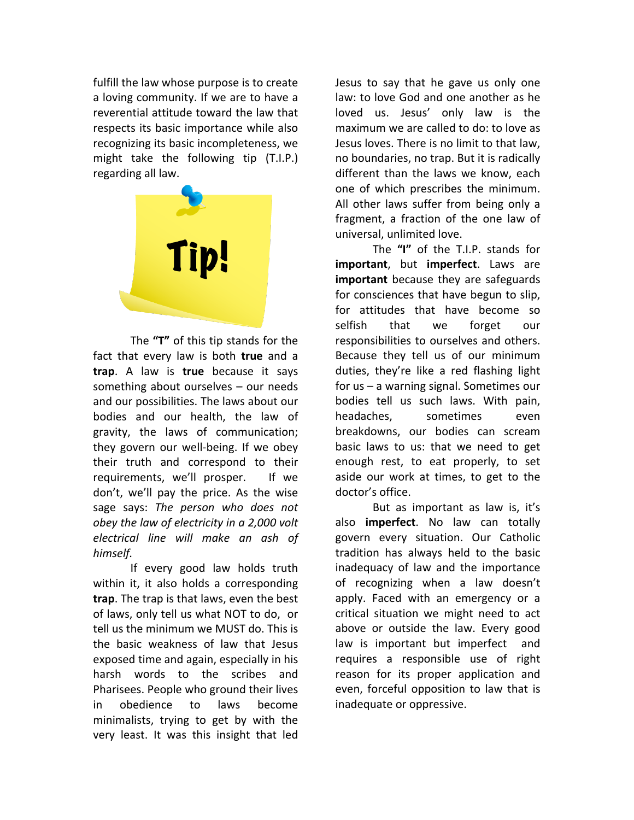fulfill the law whose purpose is to create a loving community. If we are to have a reverential attitude toward the law that respects its basic importance while also recognizing its basic incompleteness, we might take the following tip (T.I.P.) regarding all law.



The **"T"** of this tip stands for the fact that every law is both **true** and a **trap**. A law is **true** because it says something about ourselves – our needs and our possibilities. The laws about our bodies and our health, the law of gravity, the laws of communication; they govern our well-being. If we obey their truth and correspond to their requirements, we'll prosper. If we don't, we'll pay the price. As the wise sage says: *The person who does not obey the law of electricity in a 2,000 volt electrical line will make an ash of himself.*

If every good law holds truth within it, it also holds a corresponding **trap**. The trap is that laws, even the best of laws, only tell us what NOT to do, or tell us the minimum we MUST do. This is the basic weakness of law that Jesus exposed time and again, especially in his harsh words to the scribes and Pharisees. People who ground their lives in obedience to laws become minimalists, trying to get by with the very least. It was this insight that led Jesus to say that he gave us only one law: to love God and one another as he loved us. Jesus' only law is the maximum we are called to do: to love as Jesus loves. There is no limit to that law, no boundaries, no trap. But it is radically different than the laws we know, each one of which prescribes the minimum. All other laws suffer from being only a fragment, a fraction of the one law of universal, unlimited love.

The **"I"** of the T.I.P. stands for **important**, but **imperfect**. Laws are **important** because they are safeguards for consciences that have begun to slip, for attitudes that have become so selfish that we forget our responsibilities to ourselves and others. Because they tell us of our minimum duties, they're like a red flashing light for us – a warning signal. Sometimes our bodies tell us such laws. With pain, headaches, sometimes even breakdowns, our bodies can scream basic laws to us: that we need to get enough rest, to eat properly, to set aside our work at times, to get to the doctor's office.

But as important as law is, it's also **imperfect**. No law can totally govern every situation. Our Catholic tradition has always held to the basic inadequacy of law and the importance of recognizing when a law doesn't apply. Faced with an emergency or a critical situation we might need to act above or outside the law. Every good law is important but imperfect and requires a responsible use of right reason for its proper application and even, forceful opposition to law that is inadequate or oppressive.